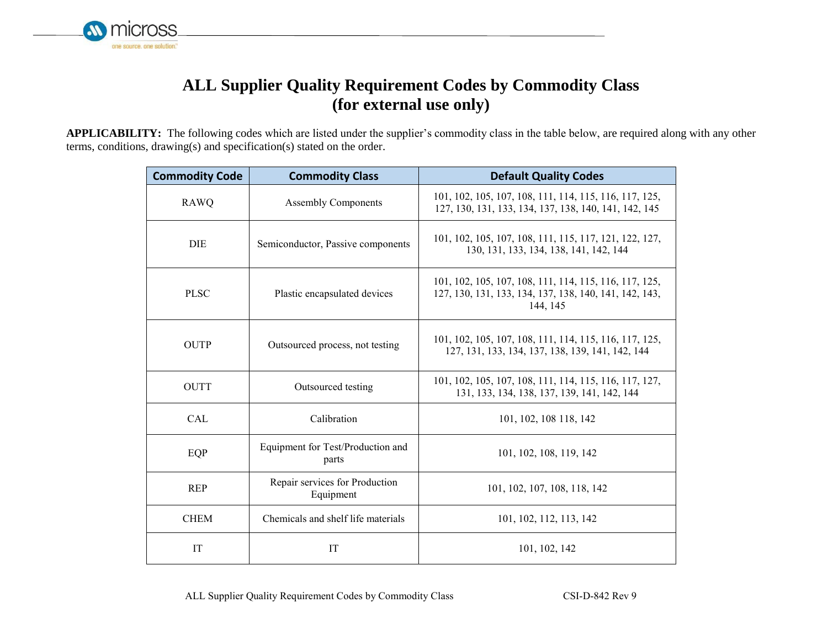

## **ALL Supplier Quality Requirement Codes by Commodity Class (for external use only)**

**APPLICABILITY:** The following codes which are listed under the supplier's commodity class in the table below, are required along with any other terms, conditions, drawing(s) and specification(s) stated on the order.

| <b>Commodity Code</b> | <b>Commodity Class</b>                      | <b>Default Quality Codes</b>                                                                                                 |
|-----------------------|---------------------------------------------|------------------------------------------------------------------------------------------------------------------------------|
| RAWQ                  | <b>Assembly Components</b>                  | 101, 102, 105, 107, 108, 111, 114, 115, 116, 117, 125,<br>127, 130, 131, 133, 134, 137, 138, 140, 141, 142, 145              |
| <b>DIE</b>            | Semiconductor, Passive components           | 101, 102, 105, 107, 108, 111, 115, 117, 121, 122, 127,<br>130, 131, 133, 134, 138, 141, 142, 144                             |
| <b>PLSC</b>           | Plastic encapsulated devices                | 101, 102, 105, 107, 108, 111, 114, 115, 116, 117, 125,<br>127, 130, 131, 133, 134, 137, 138, 140, 141, 142, 143,<br>144, 145 |
| <b>OUTP</b>           | Outsourced process, not testing             | 101, 102, 105, 107, 108, 111, 114, 115, 116, 117, 125,<br>127, 131, 133, 134, 137, 138, 139, 141, 142, 144                   |
| <b>OUTT</b>           | Outsourced testing                          | 101, 102, 105, 107, 108, 111, 114, 115, 116, 117, 127,<br>131, 133, 134, 138, 137, 139, 141, 142, 144                        |
| <b>CAL</b>            | Calibration                                 | 101, 102, 108 118, 142                                                                                                       |
| EQP                   | Equipment for Test/Production and<br>parts  | 101, 102, 108, 119, 142                                                                                                      |
| <b>REP</b>            | Repair services for Production<br>Equipment | 101, 102, 107, 108, 118, 142                                                                                                 |
| <b>CHEM</b>           | Chemicals and shelf life materials          | 101, 102, 112, 113, 142                                                                                                      |
| <b>IT</b>             | <b>IT</b>                                   | 101, 102, 142                                                                                                                |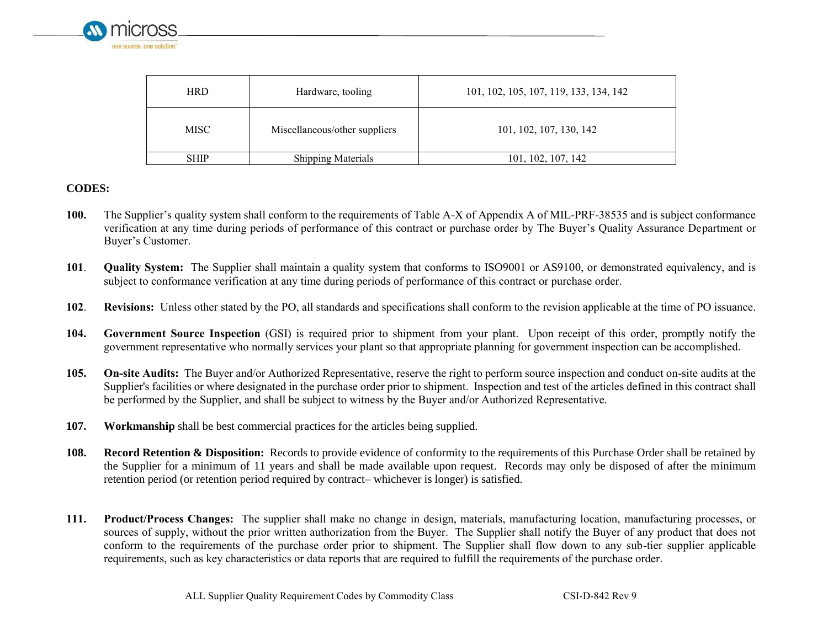

| <b>HRD</b>  | Hardware, tooling             | 101, 102, 105, 107, 119, 133, 134, 142 |
|-------------|-------------------------------|----------------------------------------|
| <b>MISC</b> | Miscellaneous/other suppliers | 101, 102, 107, 130, 142                |
| SHIP        | <b>Shipping Materials</b>     | 101, 102, 107, 142                     |

## **CODES:**

- **100.** The Supplier's quality system shall conform to the requirements of Table A-X of Appendix A of MIL-PRF-38535 and is subject conformance verification at any time during periods of performance of this contract or purchase order by The Buyer's Quality Assurance Department or Buyer's Customer.
- **101**. **Quality System:** The Supplier shall maintain a quality system that conforms to ISO9001 or AS9100, or demonstrated equivalency, and is subject to conformance verification at any time during periods of performance of this contract or purchase order.
- **102**. **Revisions:** Unless other stated by the PO, all standards and specifications shall conform to the revision applicable at the time of PO issuance.
- **104. Government Source Inspection** (GSI) is required prior to shipment from your plant. Upon receipt of this order, promptly notify the government representative who normally services your plant so that appropriate planning for government inspection can be accomplished.
- **105. On-site Audits:** The Buyer and/or Authorized Representative, reserve the right to perform source inspection and conduct on-site audits at the Supplier's facilities or where designated in the purchase order prior to shipment. Inspection and test of the articles defined in this contract shall be performed by the Supplier, and shall be subject to witness by the Buyer and/or Authorized Representative.
- **107. Workmanship** shall be best commercial practices for the articles being supplied.
- **108. Record Retention & Disposition:** Records to provide evidence of conformity to the requirements of this Purchase Order shall be retained by the Supplier for a minimum of 11 years and shall be made available upon request. Records may only be disposed of after the minimum retention period (or retention period required by contract– whichever is longer) is satisfied.
- **111. Product/Process Changes:** The supplier shall make no change in design, materials, manufacturing location, manufacturing processes, or sources of supply, without the prior written authorization from the Buyer. The Supplier shall notify the Buyer of any product that does not conform to the requirements of the purchase order prior to shipment. The Supplier shall flow down to any sub-tier supplier applicable requirements, such as key characteristics or data reports that are required to fulfill the requirements of the purchase order.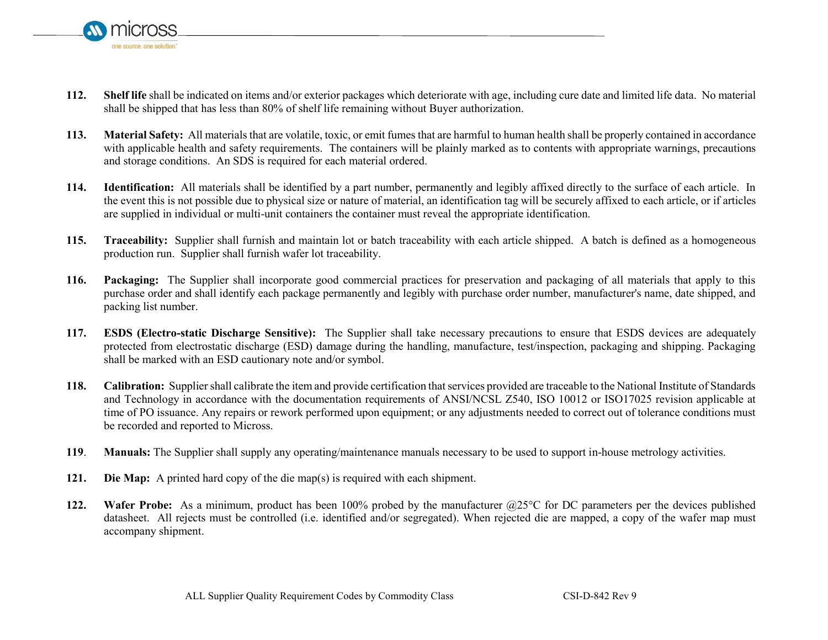

- **112. Shelf life** shall be indicated on items and/or exterior packages which deteriorate with age, including cure date and limited life data. No material shall be shipped that has less than 80% of shelf life remaining without Buyer authorization.
- **113. Material Safety:** All materials that are volatile, toxic, or emit fumes that are harmful to human health shall be properly contained in accordance with applicable health and safety requirements. The containers will be plainly marked as to contents with appropriate warnings, precautions and storage conditions. An SDS is required for each material ordered.
- **114. Identification:** All materials shall be identified by a part number, permanently and legibly affixed directly to the surface of each article. In the event this is not possible due to physical size or nature of material, an identification tag will be securely affixed to each article, or if articles are supplied in individual or multi-unit containers the container must reveal the appropriate identification.
- **115. Traceability:** Supplier shall furnish and maintain lot or batch traceability with each article shipped. A batch is defined as a homogeneous production run. Supplier shall furnish wafer lot traceability.
- **116. Packaging:** The Supplier shall incorporate good commercial practices for preservation and packaging of all materials that apply to this purchase order and shall identify each package permanently and legibly with purchase order number, manufacturer's name, date shipped, and packing list number.
- **117. ESDS (Electro-static Discharge Sensitive):** The Supplier shall take necessary precautions to ensure that ESDS devices are adequately protected from electrostatic discharge (ESD) damage during the handling, manufacture, test/inspection, packaging and shipping. Packaging shall be marked with an ESD cautionary note and/or symbol.
- **118. Calibration:** Supplier shall calibrate the item and provide certification that services provided are traceable to the National Institute of Standards and Technology in accordance with the documentation requirements of ANSI/NCSL Z540, ISO 10012 or ISO17025 revision applicable at time of PO issuance. Any repairs or rework performed upon equipment; or any adjustments needed to correct out of tolerance conditions must be recorded and reported to Micross.
- **119**. **Manuals:** The Supplier shall supply any operating/maintenance manuals necessary to be used to support in-house metrology activities.
- **121. Die Map:** A printed hard copy of the die map(s) is required with each shipment.
- **122. Wafer Probe:** As a minimum, product has been 100% probed by the manufacturer @25°C for DC parameters per the devices published datasheet. All rejects must be controlled (i.e. identified and/or segregated). When rejected die are mapped, a copy of the wafer map must accompany shipment.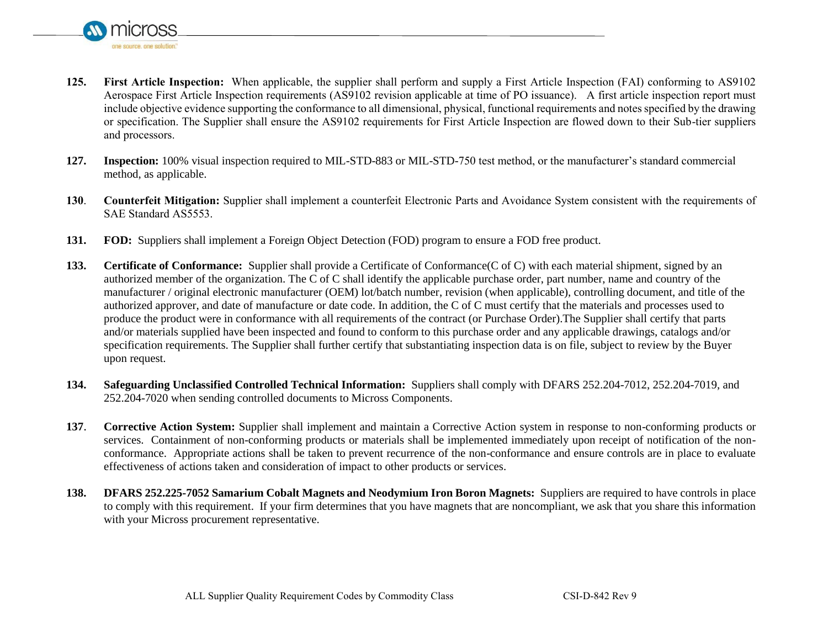

- **125. First Article Inspection:** When applicable, the supplier shall perform and supply a First Article Inspection (FAI) conforming to AS9102 Aerospace First Article Inspection requirements (AS9102 revision applicable at time of PO issuance). A first article inspection report must include objective evidence supporting the conformance to all dimensional, physical, functional requirements and notes specified by the drawing or specification. The Supplier shall ensure the AS9102 requirements for First Article Inspection are flowed down to their Sub-tier suppliers and processors.
- **127. Inspection:** 100% visual inspection required to MIL-STD-883 or MIL-STD-750 test method, or the manufacturer's standard commercial method, as applicable.
- **130**. **Counterfeit Mitigation:** Supplier shall implement a counterfeit Electronic Parts and Avoidance System consistent with the requirements of SAE Standard AS5553.
- **131. FOD:** Suppliers shall implement a Foreign Object Detection (FOD) program to ensure a FOD free product.
- **133.** Certificate of Conformance: Supplier shall provide a Certificate of Conformance(C of C) with each material shipment, signed by an authorized member of the organization. The C of C shall identify the applicable purchase order, part number, name and country of the manufacturer / original electronic manufacturer (OEM) lot/batch number, revision (when applicable), controlling document, and title of the authorized approver, and date of manufacture or date code. In addition, the C of C must certify that the materials and processes used to produce the product were in conformance with all requirements of the contract (or Purchase Order).The Supplier shall certify that parts and/or materials supplied have been inspected and found to conform to this purchase order and any applicable drawings, catalogs and/or specification requirements. The Supplier shall further certify that substantiating inspection data is on file, subject to review by the Buyer upon request.
- **134. Safeguarding Unclassified Controlled Technical Information:** Suppliers shall comply with DFARS 252.204-7012, 252.204-7019, and 252.204-7020 when sending controlled documents to Micross Components.
- **137**. **Corrective Action System:** Supplier shall implement and maintain a Corrective Action system in response to non-conforming products or services. Containment of non-conforming products or materials shall be implemented immediately upon receipt of notification of the nonconformance. Appropriate actions shall be taken to prevent recurrence of the non-conformance and ensure controls are in place to evaluate effectiveness of actions taken and consideration of impact to other products or services.
- **138. DFARS 252.225-7052 Samarium Cobalt Magnets and Neodymium Iron Boron Magnets:** Suppliers are required to have controls in place to comply with this requirement. If your firm determines that you have magnets that are noncompliant, we ask that you share this information with your Micross procurement representative.